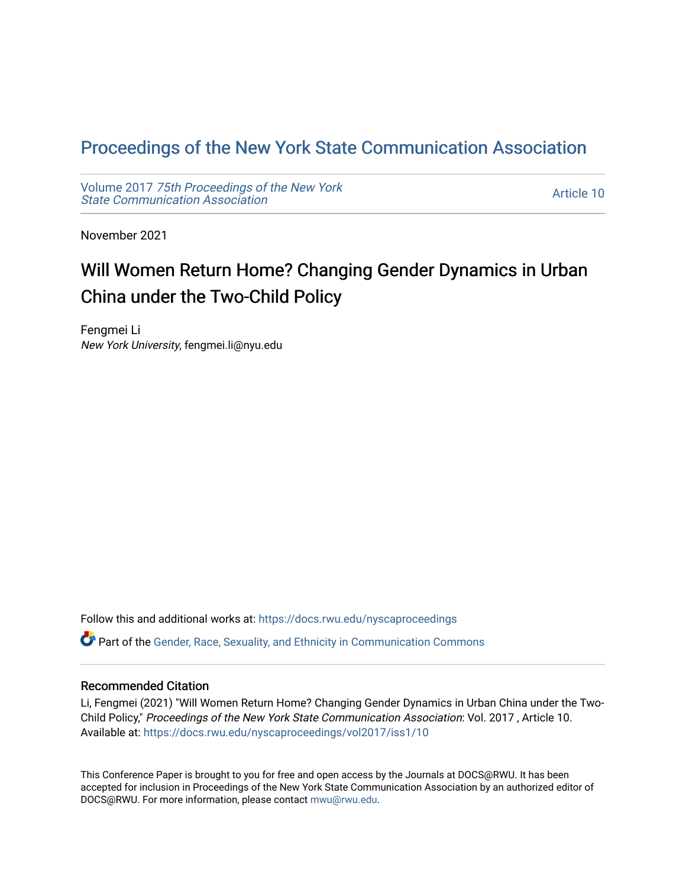## [Proceedings of the New York State Communication Association](https://docs.rwu.edu/nyscaproceedings)

Volume 2017 [75th Proceedings of the New York](https://docs.rwu.edu/nyscaproceedings/vol2017) [State Communication Association](https://docs.rwu.edu/nyscaproceedings/vol2017) 

[Article 10](https://docs.rwu.edu/nyscaproceedings/vol2017/iss1/10) 

November 2021

# Will Women Return Home? Changing Gender Dynamics in Urban China under the Two-Child Policy

Fengmei Li New York University, fengmei.li@nyu.edu

Follow this and additional works at: [https://docs.rwu.edu/nyscaproceedings](https://docs.rwu.edu/nyscaproceedings?utm_source=docs.rwu.edu%2Fnyscaproceedings%2Fvol2017%2Fiss1%2F10&utm_medium=PDF&utm_campaign=PDFCoverPages) Part of the [Gender, Race, Sexuality, and Ethnicity in Communication Commons](http://network.bepress.com/hgg/discipline/329?utm_source=docs.rwu.edu%2Fnyscaproceedings%2Fvol2017%2Fiss1%2F10&utm_medium=PDF&utm_campaign=PDFCoverPages) 

#### Recommended Citation

Li, Fengmei (2021) "Will Women Return Home? Changing Gender Dynamics in Urban China under the Two-Child Policy," Proceedings of the New York State Communication Association: Vol. 2017 , Article 10. Available at: [https://docs.rwu.edu/nyscaproceedings/vol2017/iss1/10](https://docs.rwu.edu/nyscaproceedings/vol2017/iss1/10?utm_source=docs.rwu.edu%2Fnyscaproceedings%2Fvol2017%2Fiss1%2F10&utm_medium=PDF&utm_campaign=PDFCoverPages) 

This Conference Paper is brought to you for free and open access by the Journals at DOCS@RWU. It has been accepted for inclusion in Proceedings of the New York State Communication Association by an authorized editor of DOCS@RWU. For more information, please contact [mwu@rwu.edu.](mailto:mwu@rwu.edu)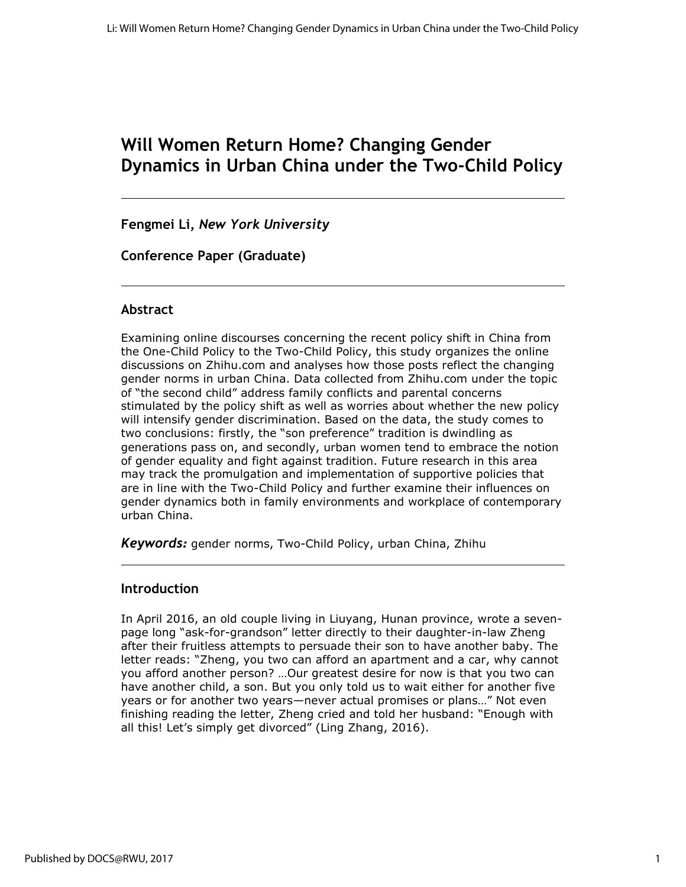# **Will Women Return Home? Changing Gender Dynamics in Urban China under the Two-Child Policy**

**Fengmei Li,** *New York University*

**Conference Paper (Graduate)**

#### **Abstract**

Examining online discourses concerning the recent policy shift in China from the One-Child Policy to the Two-Child Policy, this study organizes the online discussions on Zhihu.com and analyses how those posts reflect the changing gender norms in urban China. Data collected from Zhihu.com under the topic of "the second child" address family conflicts and parental concerns stimulated by the policy shift as well as worries about whether the new policy will intensify gender discrimination. Based on the data, the study comes to two conclusions: firstly, the "son preference" tradition is dwindling as generations pass on, and secondly, urban women tend to embrace the notion of gender equality and fight against tradition. Future research in this area may track the promulgation and implementation of supportive policies that are in line with the Two-Child Policy and further examine their influences on gender dynamics both in family environments and workplace of contemporary urban China.

*Keywords:* gender norms, Two-Child Policy, urban China, Zhihu

#### **Introduction**

In April 2016, an old couple living in Liuyang, Hunan province, wrote a sevenpage long "ask-for-grandson" letter directly to their daughter-in-law Zheng after their fruitless attempts to persuade their son to have another baby. The letter reads: "Zheng, you two can afford an apartment and a car, why cannot you afford another person? …Our greatest desire for now is that you two can have another child, a son. But you only told us to wait either for another five years or for another two years—never actual promises or plans…" Not even finishing reading the letter, Zheng cried and told her husband: "Enough with all this! Let's simply get divorced" (Ling Zhang, 2016).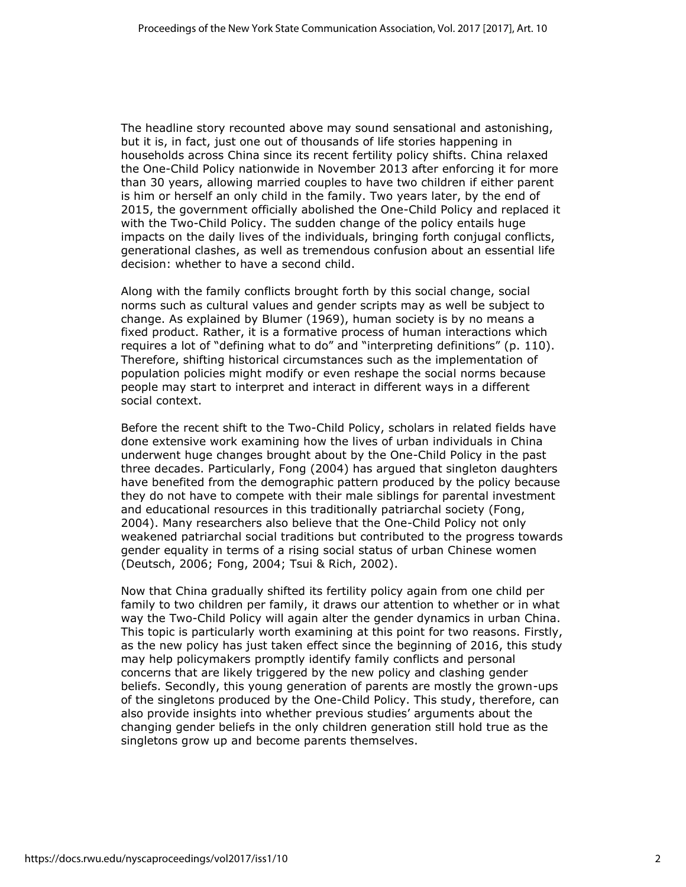The headline story recounted above may sound sensational and astonishing, but it is, in fact, just one out of thousands of life stories happening in households across China since its recent fertility policy shifts. China relaxed the One-Child Policy nationwide in November 2013 after enforcing it for more than 30 years, allowing married couples to have two children if either parent is him or herself an only child in the family. Two years later, by the end of 2015, the government officially abolished the One-Child Policy and replaced it with the Two-Child Policy. The sudden change of the policy entails huge impacts on the daily lives of the individuals, bringing forth conjugal conflicts, generational clashes, as well as tremendous confusion about an essential life decision: whether to have a second child.

Along with the family conflicts brought forth by this social change, social norms such as cultural values and gender scripts may as well be subject to change. As explained by Blumer (1969), human society is by no means a fixed product. Rather, it is a formative process of human interactions which requires a lot of "defining what to do" and "interpreting definitions" (p. 110). Therefore, shifting historical circumstances such as the implementation of population policies might modify or even reshape the social norms because people may start to interpret and interact in different ways in a different social context.

Before the recent shift to the Two-Child Policy, scholars in related fields have done extensive work examining how the lives of urban individuals in China underwent huge changes brought about by the One-Child Policy in the past three decades. Particularly, Fong (2004) has argued that singleton daughters have benefited from the demographic pattern produced by the policy because they do not have to compete with their male siblings for parental investment and educational resources in this traditionally patriarchal society (Fong, 2004). Many researchers also believe that the One-Child Policy not only weakened patriarchal social traditions but contributed to the progress towards gender equality in terms of a rising social status of urban Chinese women (Deutsch, 2006; Fong, 2004; Tsui & Rich, 2002).

Now that China gradually shifted its fertility policy again from one child per family to two children per family, it draws our attention to whether or in what way the Two-Child Policy will again alter the gender dynamics in urban China. This topic is particularly worth examining at this point for two reasons. Firstly, as the new policy has just taken effect since the beginning of 2016, this study may help policymakers promptly identify family conflicts and personal concerns that are likely triggered by the new policy and clashing gender beliefs. Secondly, this young generation of parents are mostly the grown-ups of the singletons produced by the One-Child Policy. This study, therefore, can also provide insights into whether previous studies' arguments about the changing gender beliefs in the only children generation still hold true as the singletons grow up and become parents themselves.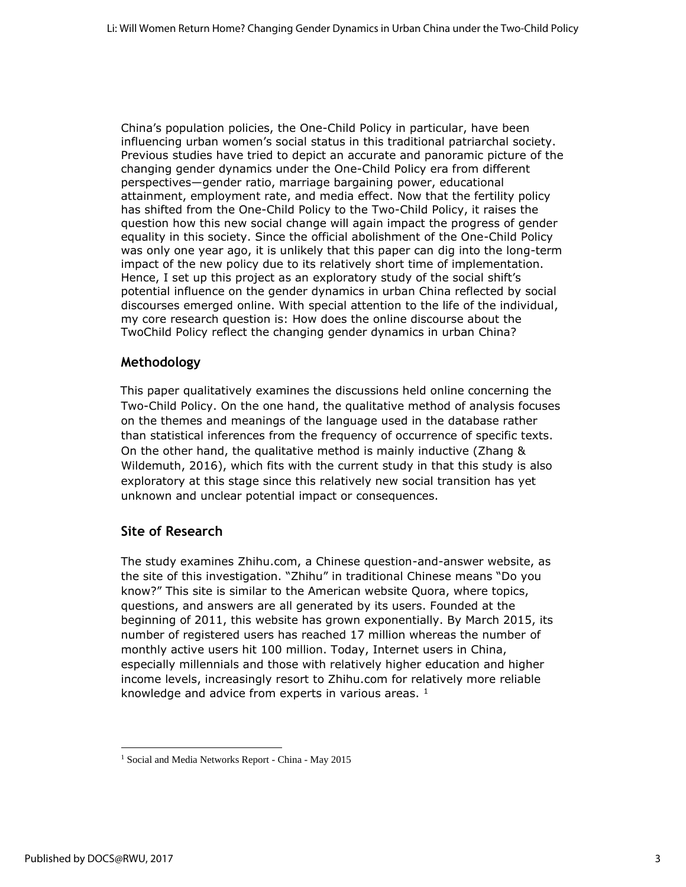China's population policies, the One-Child Policy in particular, have been influencing urban women's social status in this traditional patriarchal society. Previous studies have tried to depict an accurate and panoramic picture of the changing gender dynamics under the One-Child Policy era from different perspectives—gender ratio, marriage bargaining power, educational attainment, employment rate, and media effect. Now that the fertility policy has shifted from the One-Child Policy to the Two-Child Policy, it raises the question how this new social change will again impact the progress of gender equality in this society. Since the official abolishment of the One-Child Policy was only one year ago, it is unlikely that this paper can dig into the long-term impact of the new policy due to its relatively short time of implementation. Hence, I set up this project as an exploratory study of the social shift's potential influence on the gender dynamics in urban China reflected by social discourses emerged online. With special attention to the life of the individual, my core research question is: How does the online discourse about the TwoChild Policy reflect the changing gender dynamics in urban China?

#### **Methodology**

This paper qualitatively examines the discussions held online concerning the Two-Child Policy. On the one hand, the qualitative method of analysis focuses on the themes and meanings of the language used in the database rather than statistical inferences from the frequency of occurrence of specific texts. On the other hand, the qualitative method is mainly inductive (Zhang & Wildemuth, 2016), which fits with the current study in that this study is also exploratory at this stage since this relatively new social transition has yet unknown and unclear potential impact or consequences.

#### **Site of Research**

The study examines Zhihu.com, a Chinese question-and-answer website, as the site of this investigation. "Zhihu" in traditional Chinese means "Do you know?" This site is similar to the American website Quora, where topics, questions, and answers are all generated by its users. Founded at the beginning of 2011, this website has grown exponentially. By March 2015, its number of registered users has reached 17 million whereas the number of monthly active users hit 100 million. Today, Internet users in China, especially millennials and those with relatively higher education and higher income levels, increasingly resort to Zhihu.com for relatively more reliable knowledge and advice from experts in various areas.  $1$ 

<sup>1</sup> Social and Media Networks Report - China - May 2015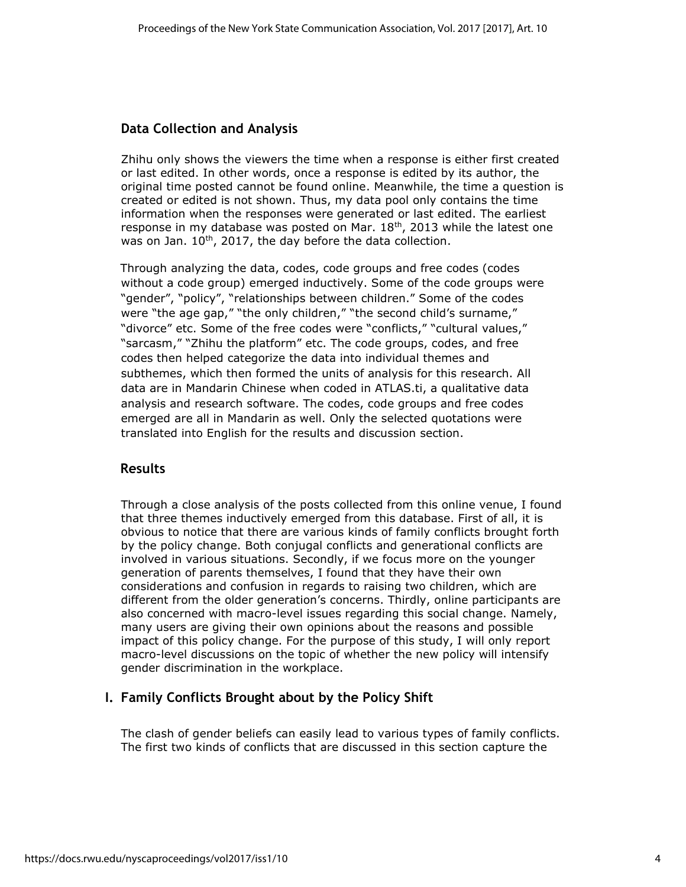#### **Data Collection and Analysis**

Zhihu only shows the viewers the time when a response is either first created or last edited. In other words, once a response is edited by its author, the original time posted cannot be found online. Meanwhile, the time a question is created or edited is not shown. Thus, my data pool only contains the time information when the responses were generated or last edited. The earliest response in my database was posted on Mar. 18<sup>th</sup>, 2013 while the latest one was on Jan.  $10<sup>th</sup>$ , 2017, the day before the data collection.

Through analyzing the data, codes, code groups and free codes (codes without a code group) emerged inductively. Some of the code groups were "gender", "policy", "relationships between children." Some of the codes were "the age gap," "the only children," "the second child's surname," "divorce" etc. Some of the free codes were "conflicts," "cultural values," "sarcasm," "Zhihu the platform" etc. The code groups, codes, and free codes then helped categorize the data into individual themes and subthemes, which then formed the units of analysis for this research. All data are in Mandarin Chinese when coded in ATLAS.ti, a qualitative data analysis and research software. The codes, code groups and free codes emerged are all in Mandarin as well. Only the selected quotations were translated into English for the results and discussion section.

#### **Results**

Through a close analysis of the posts collected from this online venue, I found that three themes inductively emerged from this database. First of all, it is obvious to notice that there are various kinds of family conflicts brought forth by the policy change. Both conjugal conflicts and generational conflicts are involved in various situations. Secondly, if we focus more on the younger generation of parents themselves, I found that they have their own considerations and confusion in regards to raising two children, which are different from the older generation's concerns. Thirdly, online participants are also concerned with macro-level issues regarding this social change. Namely, many users are giving their own opinions about the reasons and possible impact of this policy change. For the purpose of this study, I will only report macro-level discussions on the topic of whether the new policy will intensify gender discrimination in the workplace.

#### **I. Family Conflicts Brought about by the Policy Shift**

The clash of gender beliefs can easily lead to various types of family conflicts. The first two kinds of conflicts that are discussed in this section capture the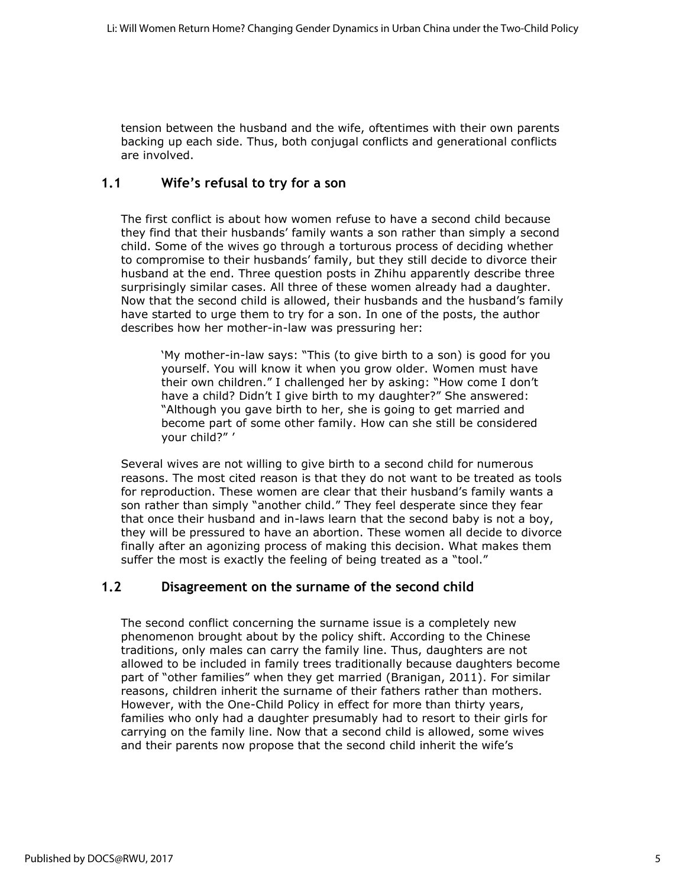tension between the husband and the wife, oftentimes with their own parents backing up each side. Thus, both conjugal conflicts and generational conflicts are involved.

#### **1.1 Wife's refusal to try for a son**

The first conflict is about how women refuse to have a second child because they find that their husbands' family wants a son rather than simply a second child. Some of the wives go through a torturous process of deciding whether to compromise to their husbands' family, but they still decide to divorce their husband at the end. Three question posts in Zhihu apparently describe three surprisingly similar cases. All three of these women already had a daughter. Now that the second child is allowed, their husbands and the husband's family have started to urge them to try for a son. In one of the posts, the author describes how her mother-in-law was pressuring her:

'My mother-in-law says: "This (to give birth to a son) is good for you yourself. You will know it when you grow older. Women must have their own children." I challenged her by asking: "How come I don't have a child? Didn't I give birth to my daughter?" She answered: "Although you gave birth to her, she is going to get married and become part of some other family. How can she still be considered your child?" '

Several wives are not willing to give birth to a second child for numerous reasons. The most cited reason is that they do not want to be treated as tools for reproduction. These women are clear that their husband's family wants a son rather than simply "another child." They feel desperate since they fear that once their husband and in-laws learn that the second baby is not a boy, they will be pressured to have an abortion. These women all decide to divorce finally after an agonizing process of making this decision. What makes them suffer the most is exactly the feeling of being treated as a "tool."

#### **1.2 Disagreement on the surname of the second child**

The second conflict concerning the surname issue is a completely new phenomenon brought about by the policy shift. According to the Chinese traditions, only males can carry the family line. Thus, daughters are not allowed to be included in family trees traditionally because daughters become part of "other families" when they get married (Branigan, 2011). For similar reasons, children inherit the surname of their fathers rather than mothers. However, with the One-Child Policy in effect for more than thirty years, families who only had a daughter presumably had to resort to their girls for carrying on the family line. Now that a second child is allowed, some wives and their parents now propose that the second child inherit the wife's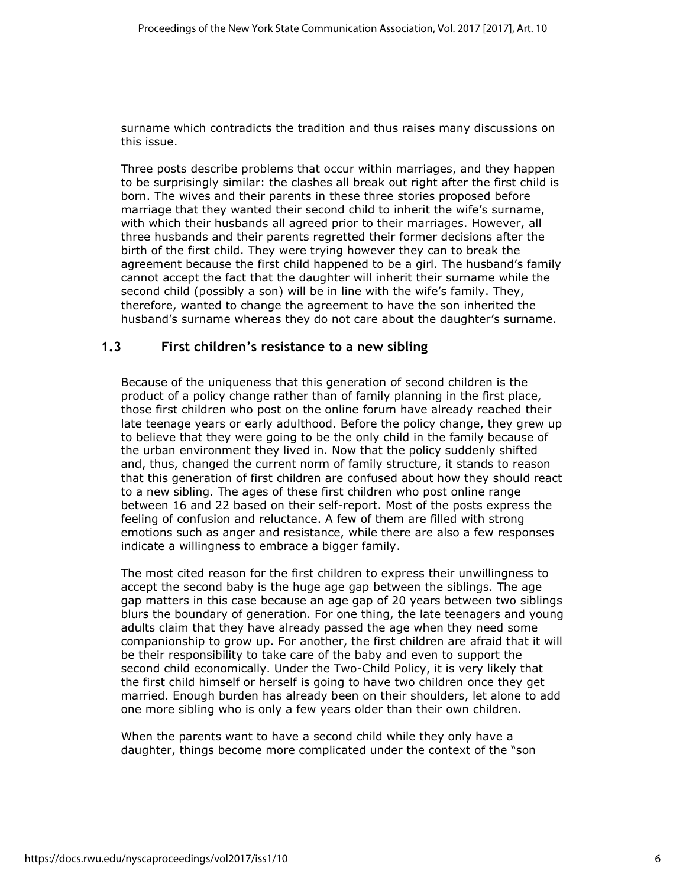surname which contradicts the tradition and thus raises many discussions on this issue.

Three posts describe problems that occur within marriages, and they happen to be surprisingly similar: the clashes all break out right after the first child is born. The wives and their parents in these three stories proposed before marriage that they wanted their second child to inherit the wife's surname, with which their husbands all agreed prior to their marriages. However, all three husbands and their parents regretted their former decisions after the birth of the first child. They were trying however they can to break the agreement because the first child happened to be a girl. The husband's family cannot accept the fact that the daughter will inherit their surname while the second child (possibly a son) will be in line with the wife's family. They, therefore, wanted to change the agreement to have the son inherited the husband's surname whereas they do not care about the daughter's surname.

#### **1.3 First children's resistance to a new sibling**

Because of the uniqueness that this generation of second children is the product of a policy change rather than of family planning in the first place, those first children who post on the online forum have already reached their late teenage years or early adulthood. Before the policy change, they grew up to believe that they were going to be the only child in the family because of the urban environment they lived in. Now that the policy suddenly shifted and, thus, changed the current norm of family structure, it stands to reason that this generation of first children are confused about how they should react to a new sibling. The ages of these first children who post online range between 16 and 22 based on their self-report. Most of the posts express the feeling of confusion and reluctance. A few of them are filled with strong emotions such as anger and resistance, while there are also a few responses indicate a willingness to embrace a bigger family.

The most cited reason for the first children to express their unwillingness to accept the second baby is the huge age gap between the siblings. The age gap matters in this case because an age gap of 20 years between two siblings blurs the boundary of generation. For one thing, the late teenagers and young adults claim that they have already passed the age when they need some companionship to grow up. For another, the first children are afraid that it will be their responsibility to take care of the baby and even to support the second child economically. Under the Two-Child Policy, it is very likely that the first child himself or herself is going to have two children once they get married. Enough burden has already been on their shoulders, let alone to add one more sibling who is only a few years older than their own children.

When the parents want to have a second child while they only have a daughter, things become more complicated under the context of the "son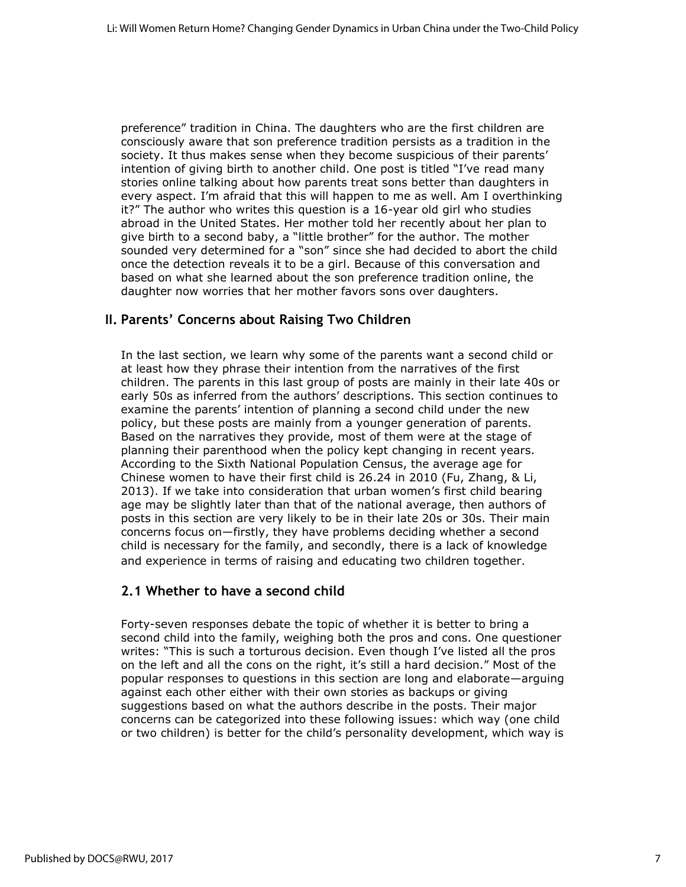preference" tradition in China. The daughters who are the first children are consciously aware that son preference tradition persists as a tradition in the society. It thus makes sense when they become suspicious of their parents' intention of giving birth to another child. One post is titled "I've read many stories online talking about how parents treat sons better than daughters in every aspect. I'm afraid that this will happen to me as well. Am I overthinking it?" The author who writes this question is a 16-year old girl who studies abroad in the United States. Her mother told her recently about her plan to give birth to a second baby, a "little brother" for the author. The mother sounded very determined for a "son" since she had decided to abort the child once the detection reveals it to be a girl. Because of this conversation and based on what she learned about the son preference tradition online, the daughter now worries that her mother favors sons over daughters.

#### **II. Parents' Concerns about Raising Two Children**

In the last section, we learn why some of the parents want a second child or at least how they phrase their intention from the narratives of the first children. The parents in this last group of posts are mainly in their late 40s or early 50s as inferred from the authors' descriptions. This section continues to examine the parents' intention of planning a second child under the new policy, but these posts are mainly from a younger generation of parents. Based on the narratives they provide, most of them were at the stage of planning their parenthood when the policy kept changing in recent years. According to the Sixth National Population Census, the average age for Chinese women to have their first child is 26.24 in 2010 (Fu, Zhang, & Li, 2013). If we take into consideration that urban women's first child bearing age may be slightly later than that of the national average, then authors of posts in this section are very likely to be in their late 20s or 30s. Their main concerns focus on—firstly, they have problems deciding whether a second child is necessary for the family, and secondly, there is a lack of knowledge and experience in terms of raising and educating two children together.

#### **2.1 Whether to have a second child**

Forty-seven responses debate the topic of whether it is better to bring a second child into the family, weighing both the pros and cons. One questioner writes: "This is such a torturous decision. Even though I've listed all the pros on the left and all the cons on the right, it's still a hard decision." Most of the popular responses to questions in this section are long and elaborate—arguing against each other either with their own stories as backups or giving suggestions based on what the authors describe in the posts. Their major concerns can be categorized into these following issues: which way (one child or two children) is better for the child's personality development, which way is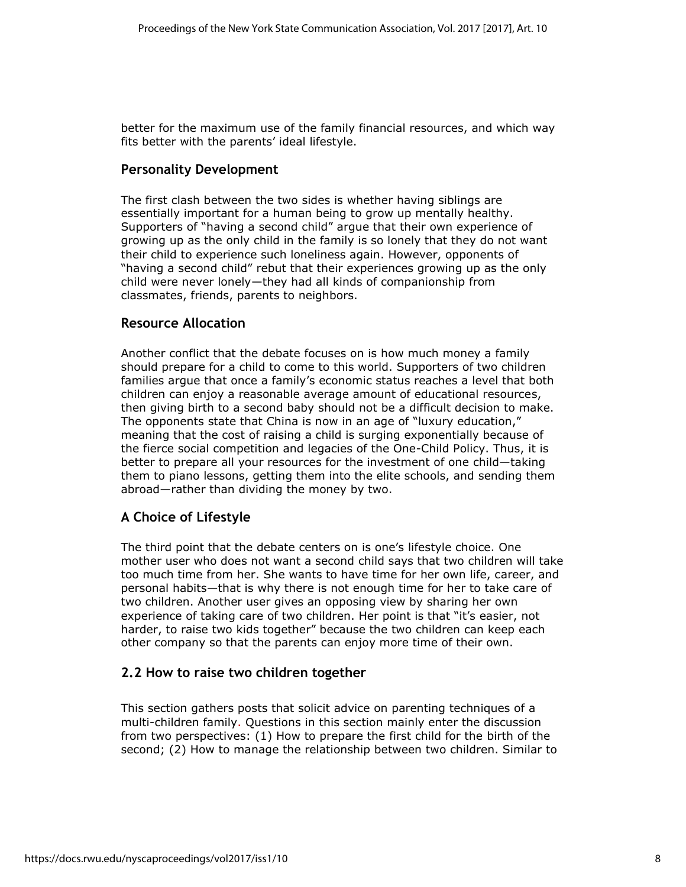better for the maximum use of the family financial resources, and which way fits better with the parents' ideal lifestyle.

#### **Personality Development**

The first clash between the two sides is whether having siblings are essentially important for a human being to grow up mentally healthy. Supporters of "having a second child" argue that their own experience of growing up as the only child in the family is so lonely that they do not want their child to experience such loneliness again. However, opponents of "having a second child" rebut that their experiences growing up as the only child were never lonely—they had all kinds of companionship from classmates, friends, parents to neighbors.

#### **Resource Allocation**

Another conflict that the debate focuses on is how much money a family should prepare for a child to come to this world. Supporters of two children families argue that once a family's economic status reaches a level that both children can enjoy a reasonable average amount of educational resources, then giving birth to a second baby should not be a difficult decision to make. The opponents state that China is now in an age of "luxury education," meaning that the cost of raising a child is surging exponentially because of the fierce social competition and legacies of the One-Child Policy. Thus, it is better to prepare all your resources for the investment of one child—taking them to piano lessons, getting them into the elite schools, and sending them abroad—rather than dividing the money by two.

#### **A Choice of Lifestyle**

The third point that the debate centers on is one's lifestyle choice. One mother user who does not want a second child says that two children will take too much time from her. She wants to have time for her own life, career, and personal habits—that is why there is not enough time for her to take care of two children. Another user gives an opposing view by sharing her own experience of taking care of two children. Her point is that "it's easier, not harder, to raise two kids together" because the two children can keep each other company so that the parents can enjoy more time of their own.

#### **2.2 How to raise two children together**

This section gathers posts that solicit advice on parenting techniques of a multi-children family. Questions in this section mainly enter the discussion from two perspectives: (1) How to prepare the first child for the birth of the second; (2) How to manage the relationship between two children. Similar to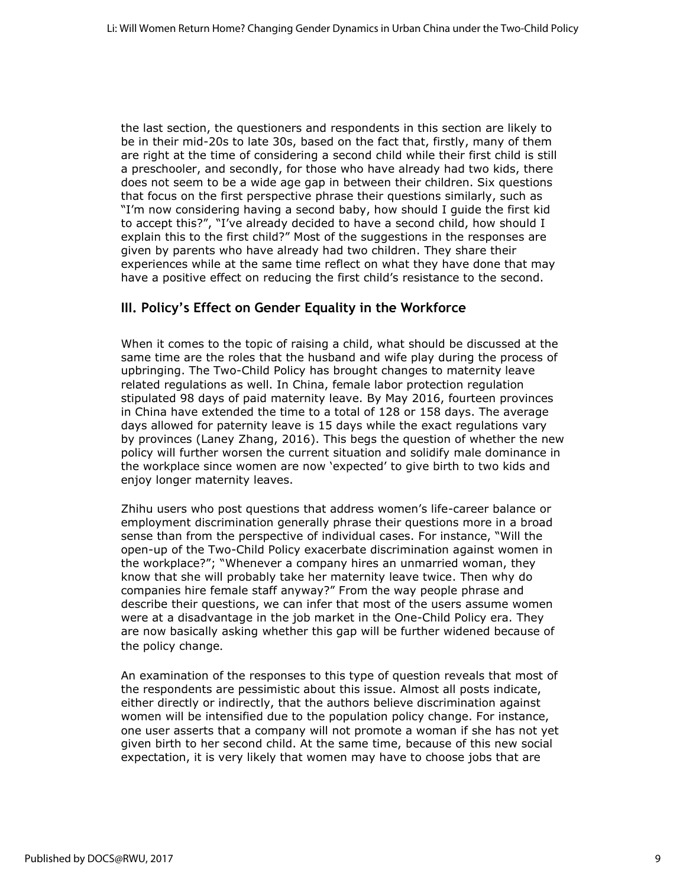the last section, the questioners and respondents in this section are likely to be in their mid-20s to late 30s, based on the fact that, firstly, many of them are right at the time of considering a second child while their first child is still a preschooler, and secondly, for those who have already had two kids, there does not seem to be a wide age gap in between their children. Six questions that focus on the first perspective phrase their questions similarly, such as "I'm now considering having a second baby, how should I guide the first kid to accept this?", "I've already decided to have a second child, how should I explain this to the first child?" Most of the suggestions in the responses are given by parents who have already had two children. They share their experiences while at the same time reflect on what they have done that may have a positive effect on reducing the first child's resistance to the second.

#### **III. Policy's Effect on Gender Equality in the Workforce**

When it comes to the topic of raising a child, what should be discussed at the same time are the roles that the husband and wife play during the process of upbringing. The Two-Child Policy has brought changes to maternity leave related regulations as well. In China, female labor protection regulation stipulated 98 days of paid maternity leave. By May 2016, fourteen provinces in China have extended the time to a total of 128 or 158 days. The average days allowed for paternity leave is 15 days while the exact regulations vary by provinces (Laney Zhang, 2016). This begs the question of whether the new policy will further worsen the current situation and solidify male dominance in the workplace since women are now 'expected' to give birth to two kids and enjoy longer maternity leaves.

Zhihu users who post questions that address women's life-career balance or employment discrimination generally phrase their questions more in a broad sense than from the perspective of individual cases. For instance, "Will the open-up of the Two-Child Policy exacerbate discrimination against women in the workplace?"; "Whenever a company hires an unmarried woman, they know that she will probably take her maternity leave twice. Then why do companies hire female staff anyway?" From the way people phrase and describe their questions, we can infer that most of the users assume women were at a disadvantage in the job market in the One-Child Policy era. They are now basically asking whether this gap will be further widened because of the policy change.

An examination of the responses to this type of question reveals that most of the respondents are pessimistic about this issue. Almost all posts indicate, either directly or indirectly, that the authors believe discrimination against women will be intensified due to the population policy change. For instance, one user asserts that a company will not promote a woman if she has not yet given birth to her second child. At the same time, because of this new social expectation, it is very likely that women may have to choose jobs that are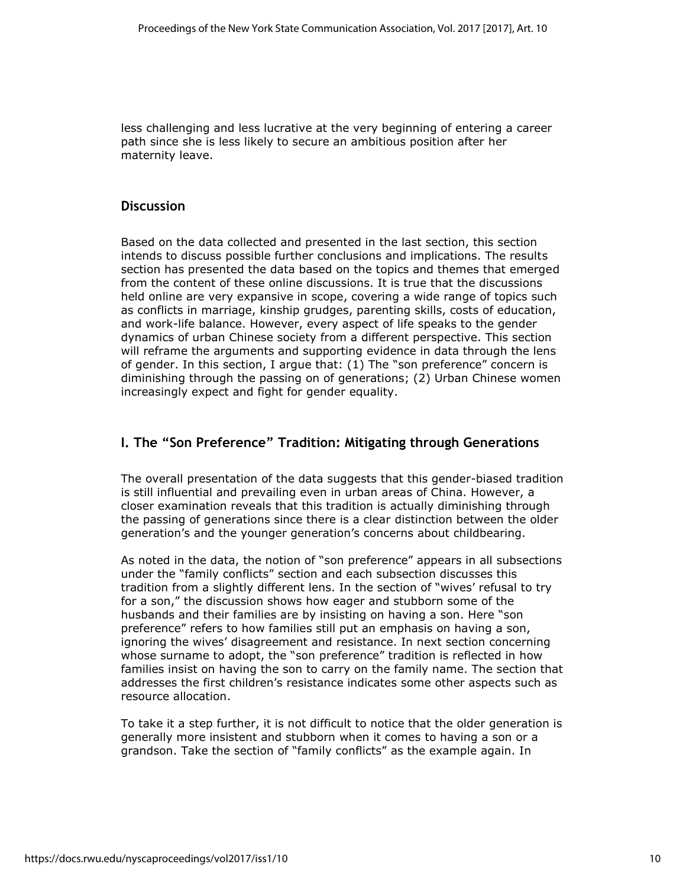less challenging and less lucrative at the very beginning of entering a career path since she is less likely to secure an ambitious position after her maternity leave.

#### **Discussion**

Based on the data collected and presented in the last section, this section intends to discuss possible further conclusions and implications. The results section has presented the data based on the topics and themes that emerged from the content of these online discussions. It is true that the discussions held online are very expansive in scope, covering a wide range of topics such as conflicts in marriage, kinship grudges, parenting skills, costs of education, and work-life balance. However, every aspect of life speaks to the gender dynamics of urban Chinese society from a different perspective. This section will reframe the arguments and supporting evidence in data through the lens of gender. In this section, I argue that: (1) The "son preference" concern is diminishing through the passing on of generations; (2) Urban Chinese women increasingly expect and fight for gender equality.

#### **I. The "Son Preference" Tradition: Mitigating through Generations**

The overall presentation of the data suggests that this gender-biased tradition is still influential and prevailing even in urban areas of China. However, a closer examination reveals that this tradition is actually diminishing through the passing of generations since there is a clear distinction between the older generation's and the younger generation's concerns about childbearing.

As noted in the data, the notion of "son preference" appears in all subsections under the "family conflicts" section and each subsection discusses this tradition from a slightly different lens. In the section of "wives' refusal to try for a son," the discussion shows how eager and stubborn some of the husbands and their families are by insisting on having a son. Here "son preference" refers to how families still put an emphasis on having a son, ignoring the wives' disagreement and resistance. In next section concerning whose surname to adopt, the "son preference" tradition is reflected in how families insist on having the son to carry on the family name. The section that addresses the first children's resistance indicates some other aspects such as resource allocation.

To take it a step further, it is not difficult to notice that the older generation is generally more insistent and stubborn when it comes to having a son or a grandson. Take the section of "family conflicts" as the example again. In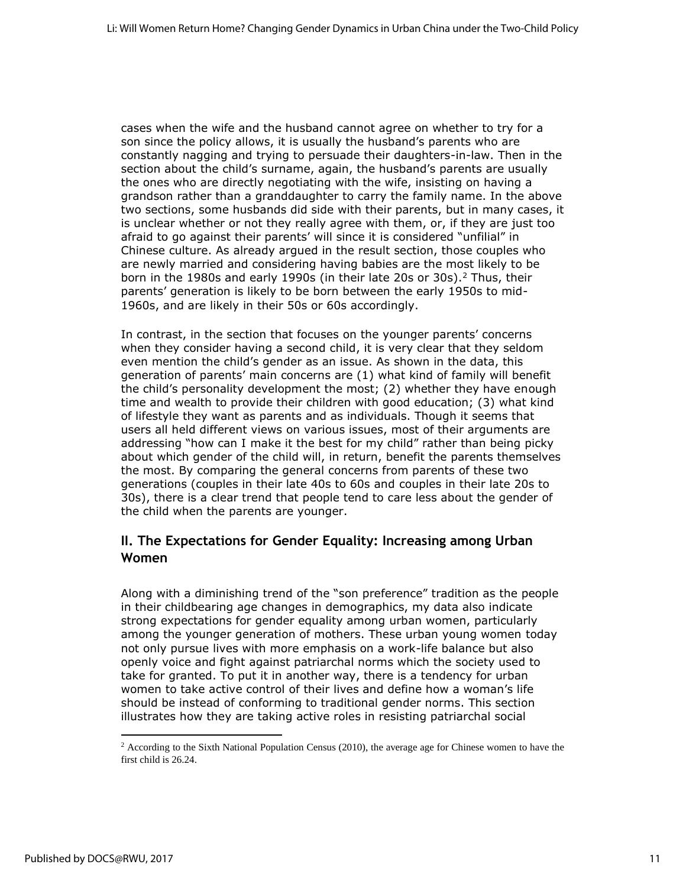cases when the wife and the husband cannot agree on whether to try for a son since the policy allows, it is usually the husband's parents who are constantly nagging and trying to persuade their daughters-in-law. Then in the section about the child's surname, again, the husband's parents are usually the ones who are directly negotiating with the wife, insisting on having a grandson rather than a granddaughter to carry the family name. In the above two sections, some husbands did side with their parents, but in many cases, it is unclear whether or not they really agree with them, or, if they are just too afraid to go against their parents' will since it is considered "unfilial" in Chinese culture. As already argued in the result section, those couples who are newly married and considering having babies are the most likely to be born in the 1980s and early 1990s (in their late 20s or 30s).<sup>2</sup> Thus, their parents' generation is likely to be born between the early 1950s to mid-1960s, and are likely in their 50s or 60s accordingly.

In contrast, in the section that focuses on the younger parents' concerns when they consider having a second child, it is very clear that they seldom even mention the child's gender as an issue. As shown in the data, this generation of parents' main concerns are (1) what kind of family will benefit the child's personality development the most; (2) whether they have enough time and wealth to provide their children with good education; (3) what kind of lifestyle they want as parents and as individuals. Though it seems that users all held different views on various issues, most of their arguments are addressing "how can I make it the best for my child" rather than being picky about which gender of the child will, in return, benefit the parents themselves the most. By comparing the general concerns from parents of these two generations (couples in their late 40s to 60s and couples in their late 20s to 30s), there is a clear trend that people tend to care less about the gender of the child when the parents are younger.

#### **II. The Expectations for Gender Equality: Increasing among Urban Women**

Along with a diminishing trend of the "son preference" tradition as the people in their childbearing age changes in demographics, my data also indicate strong expectations for gender equality among urban women, particularly among the younger generation of mothers. These urban young women today not only pursue lives with more emphasis on a work-life balance but also openly voice and fight against patriarchal norms which the society used to take for granted. To put it in another way, there is a tendency for urban women to take active control of their lives and define how a woman's life should be instead of conforming to traditional gender norms. This section illustrates how they are taking active roles in resisting patriarchal social

<sup>2</sup> According to the Sixth National Population Census (2010), the average age for Chinese women to have the first child is 26.24.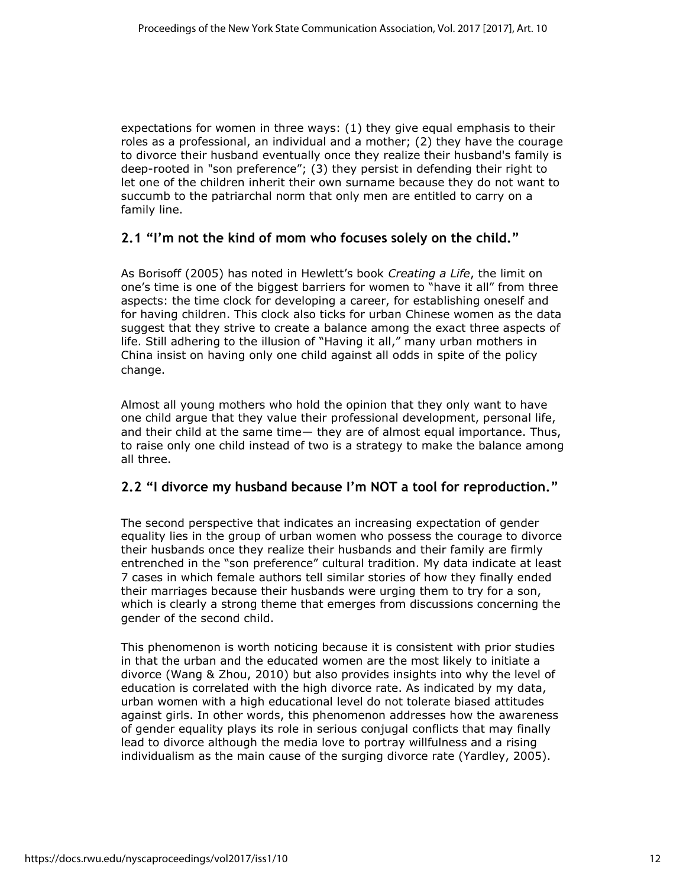expectations for women in three ways: (1) they give equal emphasis to their roles as a professional, an individual and a mother; (2) they have the courage to divorce their husband eventually once they realize their husband's family is deep-rooted in "son preference"; (3) they persist in defending their right to let one of the children inherit their own surname because they do not want to succumb to the patriarchal norm that only men are entitled to carry on a family line.

#### **2.1 "I'm not the kind of mom who focuses solely on the child."**

As Borisoff (2005) has noted in Hewlett's book *Creating a Life*, the limit on one's time is one of the biggest barriers for women to "have it all" from three aspects: the time clock for developing a career, for establishing oneself and for having children. This clock also ticks for urban Chinese women as the data suggest that they strive to create a balance among the exact three aspects of life. Still adhering to the illusion of "Having it all," many urban mothers in China insist on having only one child against all odds in spite of the policy change.

Almost all young mothers who hold the opinion that they only want to have one child argue that they value their professional development, personal life, and their child at the same time— they are of almost equal importance. Thus, to raise only one child instead of two is a strategy to make the balance among all three.

#### **2.2 "I divorce my husband because I'm NOT a tool for reproduction."**

The second perspective that indicates an increasing expectation of gender equality lies in the group of urban women who possess the courage to divorce their husbands once they realize their husbands and their family are firmly entrenched in the "son preference" cultural tradition. My data indicate at least 7 cases in which female authors tell similar stories of how they finally ended their marriages because their husbands were urging them to try for a son, which is clearly a strong theme that emerges from discussions concerning the gender of the second child.

This phenomenon is worth noticing because it is consistent with prior studies in that the urban and the educated women are the most likely to initiate a divorce (Wang & Zhou, 2010) but also provides insights into why the level of education is correlated with the high divorce rate. As indicated by my data, urban women with a high educational level do not tolerate biased attitudes against girls. In other words, this phenomenon addresses how the awareness of gender equality plays its role in serious conjugal conflicts that may finally lead to divorce although the media love to portray willfulness and a rising individualism as the main cause of the surging divorce rate (Yardley, 2005).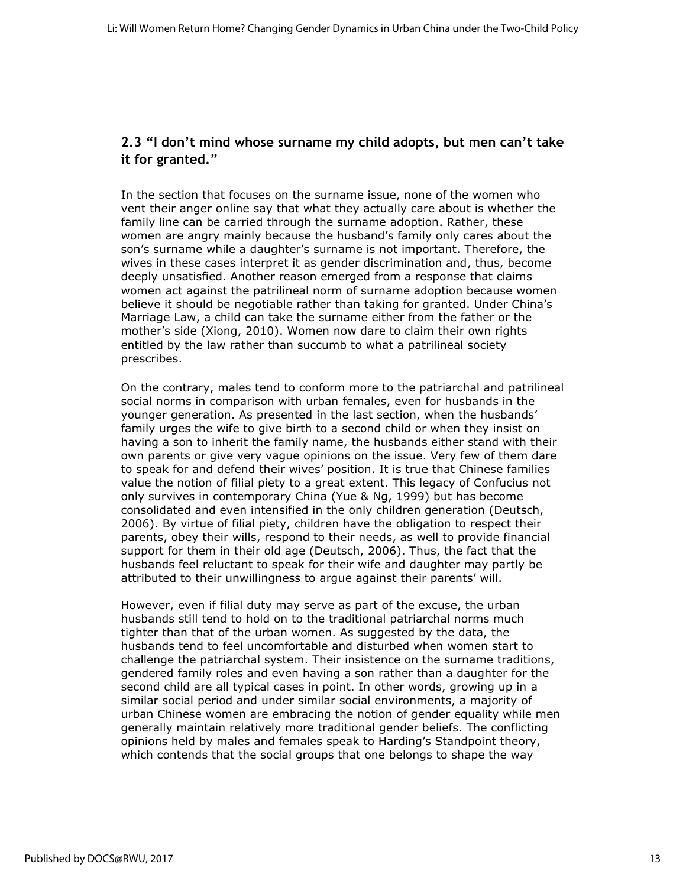### **2.3 "I don't mind whose surname my child adopts, but men can't take it for granted."**

In the section that focuses on the surname issue, none of the women who vent their anger online say that what they actually care about is whether the family line can be carried through the surname adoption. Rather, these women are angry mainly because the husband's family only cares about the son's surname while a daughter's surname is not important. Therefore, the wives in these cases interpret it as gender discrimination and, thus, become deeply unsatisfied. Another reason emerged from a response that claims women act against the patrilineal norm of surname adoption because women believe it should be negotiable rather than taking for granted. Under China's Marriage Law, a child can take the surname either from the father or the mother's side (Xiong, 2010). Women now dare to claim their own rights entitled by the law rather than succumb to what a patrilineal society prescribes.

On the contrary, males tend to conform more to the patriarchal and patrilineal social norms in comparison with urban females, even for husbands in the younger generation. As presented in the last section, when the husbands' family urges the wife to give birth to a second child or when they insist on having a son to inherit the family name, the husbands either stand with their own parents or give very vague opinions on the issue. Very few of them dare to speak for and defend their wives' position. It is true that Chinese families value the notion of filial piety to a great extent. This legacy of Confucius not only survives in contemporary China (Yue & Ng, 1999) but has become consolidated and even intensified in the only children generation (Deutsch, 2006). By virtue of filial piety, children have the obligation to respect their parents, obey their wills, respond to their needs, as well to provide financial support for them in their old age (Deutsch, 2006). Thus, the fact that the husbands feel reluctant to speak for their wife and daughter may partly be attributed to their unwillingness to argue against their parents' will.

However, even if filial duty may serve as part of the excuse, the urban husbands still tend to hold on to the traditional patriarchal norms much tighter than that of the urban women. As suggested by the data, the husbands tend to feel uncomfortable and disturbed when women start to challenge the patriarchal system. Their insistence on the surname traditions, gendered family roles and even having a son rather than a daughter for the second child are all typical cases in point. In other words, growing up in a similar social period and under similar social environments, a majority of urban Chinese women are embracing the notion of gender equality while men generally maintain relatively more traditional gender beliefs. The conflicting opinions held by males and females speak to Harding's Standpoint theory, which contends that the social groups that one belongs to shape the way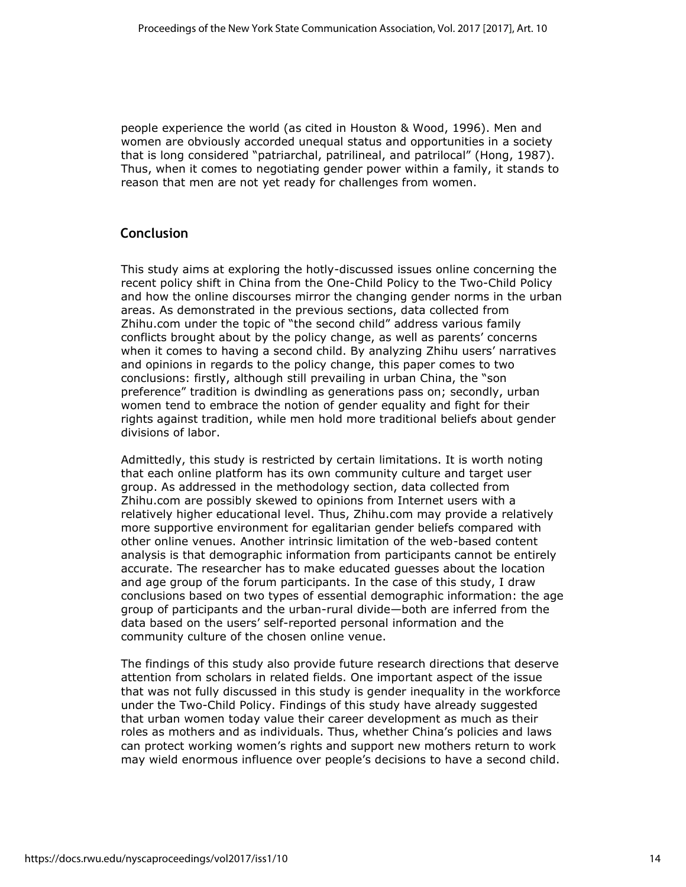people experience the world (as cited in Houston & Wood, 1996). Men and women are obviously accorded unequal status and opportunities in a society that is long considered "patriarchal, patrilineal, and patrilocal" (Hong, 1987). Thus, when it comes to negotiating gender power within a family, it stands to reason that men are not yet ready for challenges from women.

#### **Conclusion**

This study aims at exploring the hotly-discussed issues online concerning the recent policy shift in China from the One-Child Policy to the Two-Child Policy and how the online discourses mirror the changing gender norms in the urban areas. As demonstrated in the previous sections, data collected from Zhihu.com under the topic of "the second child" address various family conflicts brought about by the policy change, as well as parents' concerns when it comes to having a second child. By analyzing Zhihu users' narratives and opinions in regards to the policy change, this paper comes to two conclusions: firstly, although still prevailing in urban China, the "son preference" tradition is dwindling as generations pass on; secondly, urban women tend to embrace the notion of gender equality and fight for their rights against tradition, while men hold more traditional beliefs about gender divisions of labor.

Admittedly, this study is restricted by certain limitations. It is worth noting that each online platform has its own community culture and target user group. As addressed in the methodology section, data collected from Zhihu.com are possibly skewed to opinions from Internet users with a relatively higher educational level. Thus, Zhihu.com may provide a relatively more supportive environment for egalitarian gender beliefs compared with other online venues. Another intrinsic limitation of the web-based content analysis is that demographic information from participants cannot be entirely accurate. The researcher has to make educated guesses about the location and age group of the forum participants. In the case of this study, I draw conclusions based on two types of essential demographic information: the age group of participants and the urban-rural divide—both are inferred from the data based on the users' self-reported personal information and the community culture of the chosen online venue.

The findings of this study also provide future research directions that deserve attention from scholars in related fields. One important aspect of the issue that was not fully discussed in this study is gender inequality in the workforce under the Two-Child Policy. Findings of this study have already suggested that urban women today value their career development as much as their roles as mothers and as individuals. Thus, whether China's policies and laws can protect working women's rights and support new mothers return to work may wield enormous influence over people's decisions to have a second child.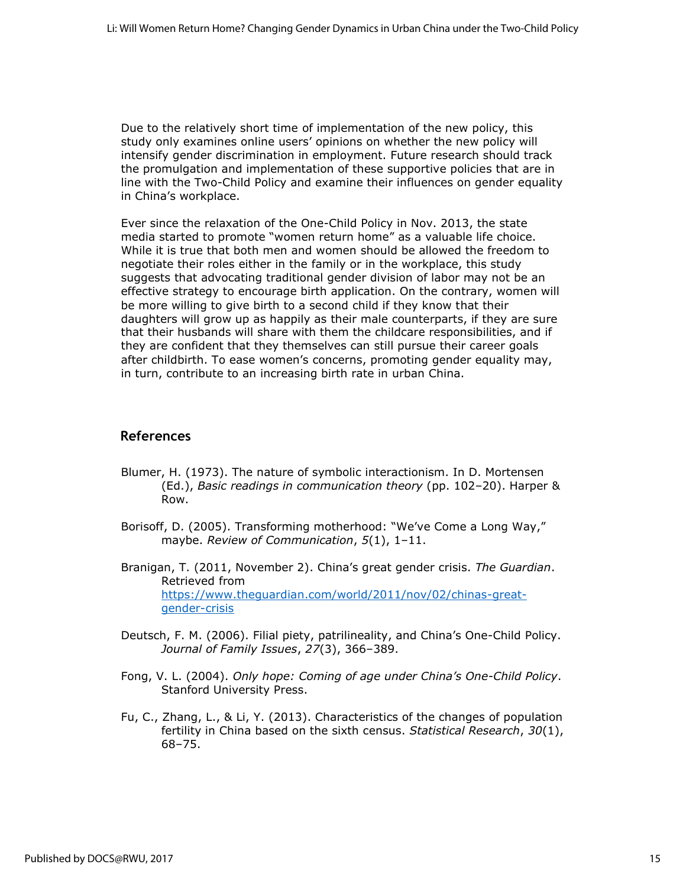Due to the relatively short time of implementation of the new policy, this study only examines online users' opinions on whether the new policy will intensify gender discrimination in employment. Future research should track the promulgation and implementation of these supportive policies that are in line with the Two-Child Policy and examine their influences on gender equality in China's workplace.

Ever since the relaxation of the One-Child Policy in Nov. 2013, the state media started to promote "women return home" as a valuable life choice. While it is true that both men and women should be allowed the freedom to negotiate their roles either in the family or in the workplace, this study suggests that advocating traditional gender division of labor may not be an effective strategy to encourage birth application. On the contrary, women will be more willing to give birth to a second child if they know that their daughters will grow up as happily as their male counterparts, if they are sure that their husbands will share with them the childcare responsibilities, and if they are confident that they themselves can still pursue their career goals after childbirth. To ease women's concerns, promoting gender equality may, in turn, contribute to an increasing birth rate in urban China.

#### **References**

- Blumer, H. (1973). The nature of symbolic interactionism. In D. Mortensen (Ed.), *Basic readings in communication theory* (pp. 102–20). Harper & Row.
- Borisoff, D. (2005). Transforming motherhood: "We've Come a Long Way," maybe. *Review of Communication*, *5*(1), 1–11.
- Branigan, T. (2011, November 2). China's great gender crisis. *The Guardian*. Retrieved from [https://www.theguardian.com/world/2011/nov/02/chinas-great](https://www.theguardian.com/world/2011/nov/02/chinas-great-gender-crisis)[gender-crisis](https://www.theguardian.com/world/2011/nov/02/chinas-great-gender-crisis)
- Deutsch, F. M. (2006). Filial piety, patrilineality, and China's One-Child Policy. *Journal of Family Issues*, *27*(3), 366–389.
- Fong, V. L. (2004). *Only hope: Coming of age under China's One-Child Policy*. Stanford University Press.
- Fu, C., Zhang, L., & Li, Y. (2013). Characteristics of the changes of population fertility in China based on the sixth census. *Statistical Research*, *30*(1), 68–75.